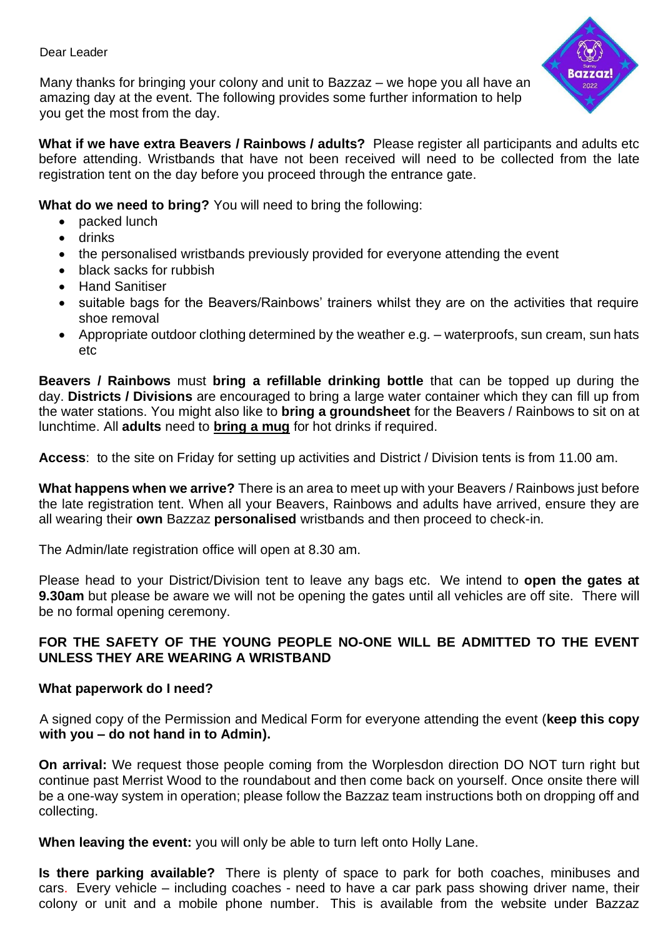Dear Leader

Many thanks for bringing your colony and unit to Bazzaz – we hope you all have an amazing day at the event. The following provides some further information to help you get the most from the day.



**What if we have extra Beavers / Rainbows / adults?** Please register all participants and adults etc before attending. Wristbands that have not been received will need to be collected from the late registration tent on the day before you proceed through the entrance gate.

**What do we need to bring?** You will need to bring the following:

- packed lunch
- drinks
- the personalised wristbands previously provided for everyone attending the event
- black sacks for rubbish
- Hand Sanitiser
- suitable bags for the Beavers/Rainbows' trainers whilst they are on the activities that require shoe removal
- Appropriate outdoor clothing determined by the weather e.g. waterproofs, sun cream, sun hats etc

**Beavers / Rainbows** must **bring a refillable drinking bottle** that can be topped up during the day. **Districts / Divisions** are encouraged to bring a large water container which they can fill up from the water stations. You might also like to **bring a groundsheet** for the Beavers / Rainbows to sit on at lunchtime. All **adults** need to **bring a mug** for hot drinks if required.

**Access**: to the site on Friday for setting up activities and District / Division tents is from 11.00 am.

**What happens when we arrive?** There is an area to meet up with your Beavers / Rainbows just before the late registration tent. When all your Beavers, Rainbows and adults have arrived, ensure they are all wearing their **own** Bazzaz **personalised** wristbands and then proceed to check-in.

The Admin/late registration office will open at 8.30 am.

Please head to your District/Division tent to leave any bags etc. We intend to **open the gates at 9.30am** but please be aware we will not be opening the gates until all vehicles are off site. There will be no formal opening ceremony.

## **FOR THE SAFETY OF THE YOUNG PEOPLE NO-ONE WILL BE ADMITTED TO THE EVENT UNLESS THEY ARE WEARING A WRISTBAND**

## **What paperwork do I need?**

A signed copy of the Permission and Medical Form for everyone attending the event (**keep this copy with you – do not hand in to Admin).**

**On arrival:** We request those people coming from the Worplesdon direction DO NOT turn right but continue past Merrist Wood to the roundabout and then come back on yourself. Once onsite there will be a one-way system in operation; please follow the Bazzaz team instructions both on dropping off and collecting.

**When leaving the event:** you will only be able to turn left onto Holly Lane.

**Is there parking available?** There is plenty of space to park for both coaches, minibuses and cars. Every vehicle – including coaches - need to have a car park pass showing driver name, their colony or unit and a mobile phone number. This is available from the website under Bazzaz